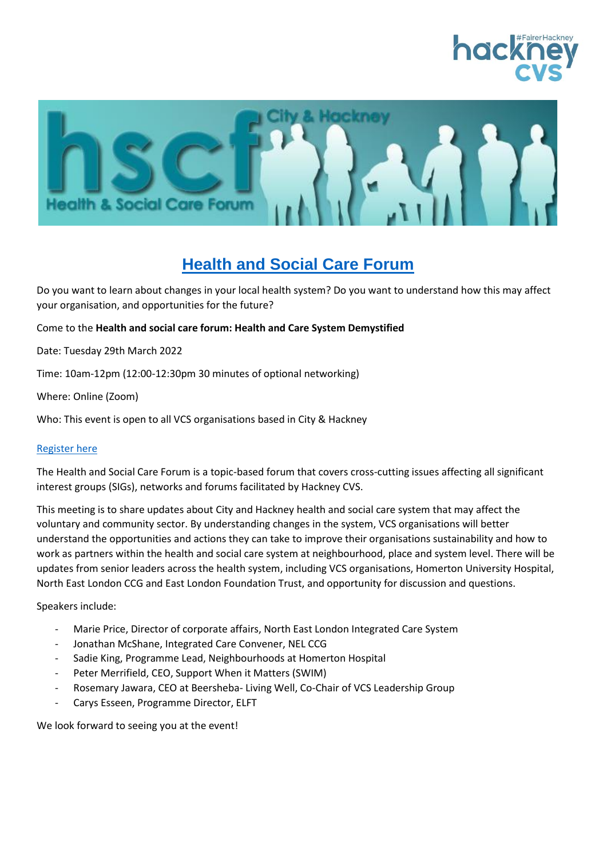



# **Health and Social Care Forum**

Do you want to learn about changes in your local health system? Do you want to understand how this may affect your organisation, and opportunities for the future?

#### Come to the **Health and social care forum: Health and Care System Demystified**

Date: Tuesday 29th March 2022

Time: 10am-12pm (12:00-12:30pm 30 minutes of optional networking)

Where: Online (Zoom)

Who: This event is open to all VCS organisations based in City & Hackney

#### [Register here](https://crm.hcvs.org.uk/civicrm/event/info?id=1020&reset=1)

The Health and Social Care Forum is a topic-based forum that covers cross-cutting issues affecting all significant interest groups (SIGs), networks and forums facilitated by Hackney CVS.

This meeting is to share updates about City and Hackney health and social care system that may affect the voluntary and community sector. By understanding changes in the system, VCS organisations will better understand the opportunities and actions they can take to improve their organisations sustainability and how to work as partners within the health and social care system at neighbourhood, place and system level. There will be updates from senior leaders across the health system, including VCS organisations, Homerton University Hospital, North East London CCG and East London Foundation Trust, and opportunity for discussion and questions.

Speakers include:

- Marie Price, Director of corporate affairs, North East London Integrated Care System
- Jonathan McShane, Integrated Care Convener, NEL CCG
- Sadie King, Programme Lead, Neighbourhoods at Homerton Hospital
- Peter Merrifield, CEO, Support When it Matters (SWIM)
- Rosemary Jawara, CEO at Beersheba- Living Well, Co-Chair of VCS Leadership Group
- Carys Esseen, Programme Director, ELFT

We look forward to seeing you at the event!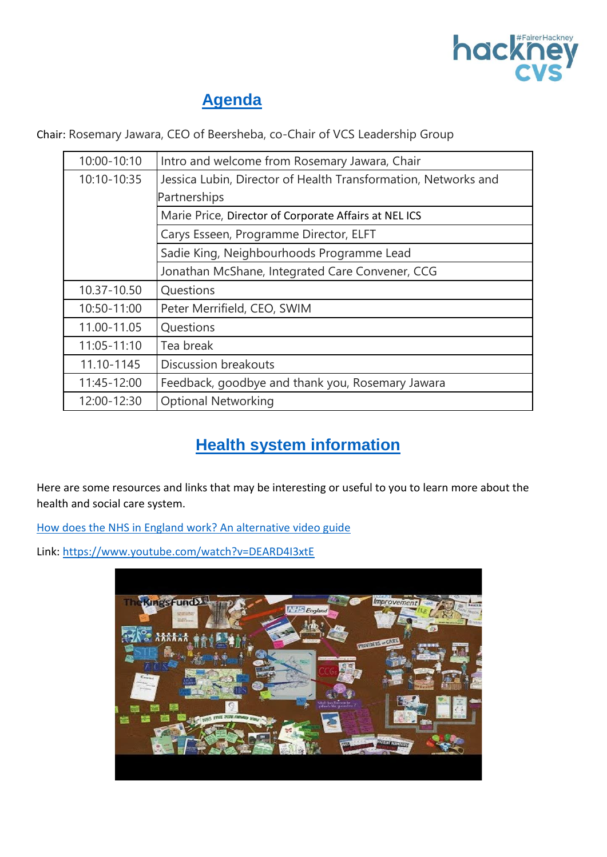

# **Agenda**

Chair: Rosemary Jawara, CEO of Beersheba, co-Chair of VCS Leadership Group

| 10:00-10:10                               | Intro and welcome from Rosemary Jawara, Chair                  |  |  |
|-------------------------------------------|----------------------------------------------------------------|--|--|
| 10:10-10:35                               | Jessica Lubin, Director of Health Transformation, Networks and |  |  |
|                                           | Partnerships                                                   |  |  |
|                                           | Marie Price, Director of Corporate Affairs at NELICS           |  |  |
|                                           | Carys Esseen, Programme Director, ELFT                         |  |  |
| Sadie King, Neighbourhoods Programme Lead |                                                                |  |  |
|                                           | Jonathan McShane, Integrated Care Convener, CCG                |  |  |
| 10.37-10.50                               | Questions                                                      |  |  |
| 10:50-11:00                               | Peter Merrifield, CEO, SWIM                                    |  |  |
| 11.00-11.05                               | Questions                                                      |  |  |
| 11:05-11:10                               | Tea break                                                      |  |  |
| 11.10-1145                                | Discussion breakouts                                           |  |  |
| 11:45-12:00                               | Feedback, goodbye and thank you, Rosemary Jawara               |  |  |
| 12:00-12:30                               | <b>Optional Networking</b>                                     |  |  |

# **Health system information**

Here are some resources and links that may be interesting or useful to you to learn more about the health and social care system.

[How does the NHS in England work? An alternative video guide](https://www.youtube.com/watch?v=DEARD4I3xtE)

Link:<https://www.youtube.com/watch?v=DEARD4I3xtE>

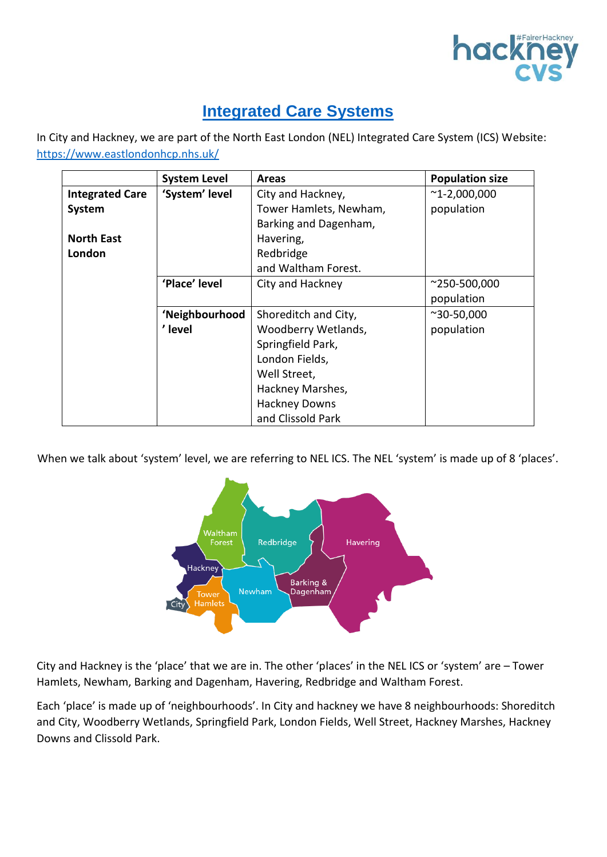

# **Integrated Care Systems**

In City and Hackney, we are part of the North East London (NEL) Integrated Care System (ICS) Website: <https://www.eastlondonhcp.nhs.uk/>

|                        | <b>System Level</b> | <b>Areas</b>           | <b>Population size</b> |
|------------------------|---------------------|------------------------|------------------------|
| <b>Integrated Care</b> | 'System' level      | City and Hackney,      | $^{\sim}$ 1-2,000,000  |
| System                 |                     | Tower Hamlets, Newham, | population             |
|                        |                     | Barking and Dagenham,  |                        |
| <b>North East</b>      |                     | Havering,              |                        |
| London                 |                     | Redbridge              |                        |
|                        |                     | and Waltham Forest.    |                        |
|                        | 'Place' level       | City and Hackney       | $^{\sim}$ 250-500,000  |
|                        |                     |                        | population             |
|                        | 'Neighbourhood      | Shoreditch and City,   | $^{\sim}30 - 50,000$   |
|                        | ' level             | Woodberry Wetlands,    | population             |
|                        |                     | Springfield Park,      |                        |
|                        |                     | London Fields,         |                        |
|                        |                     | Well Street,           |                        |
|                        |                     | Hackney Marshes,       |                        |
|                        |                     | <b>Hackney Downs</b>   |                        |
|                        |                     | and Clissold Park      |                        |

When we talk about 'system' level, we are referring to NEL ICS. The NEL 'system' is made up of 8 'places'.



City and Hackney is the 'place' that we are in. The other 'places' in the NEL ICS or 'system' are – Tower Hamlets, Newham, Barking and Dagenham, Havering, Redbridge and Waltham Forest.

Each 'place' is made up of 'neighbourhoods'. In City and hackney we have 8 neighbourhoods: Shoreditch and City, Woodberry Wetlands, Springfield Park, London Fields, Well Street, Hackney Marshes, Hackney Downs and Clissold Park.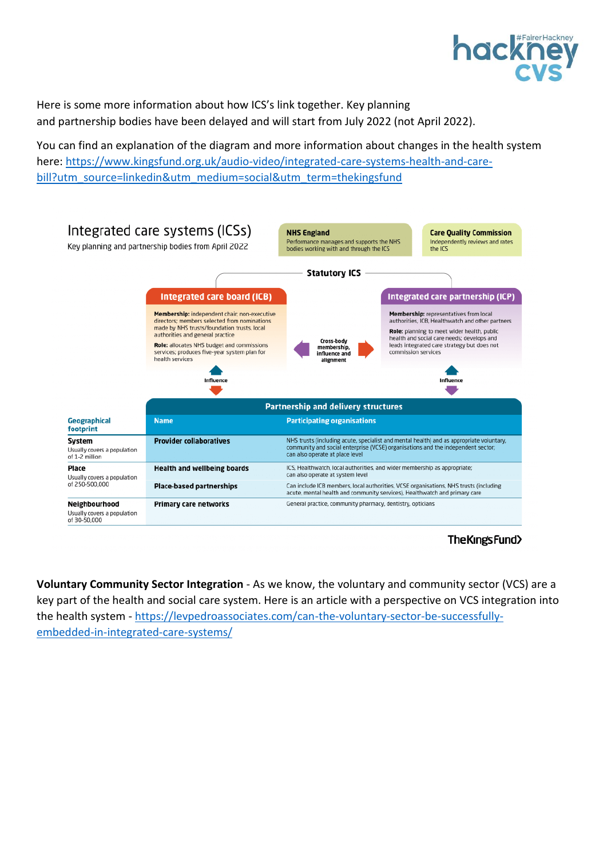

Here is some more information about how ICS's link together. Key planning and partnership bodies have been delayed and will start from July 2022 (not April 2022).

You can find an explanation of the diagram and more information about changes in the health system here: [https://www.kingsfund.org.uk/audio-video/integrated-care-systems-health-and-care](https://www.kingsfund.org.uk/audio-video/integrated-care-systems-health-and-care-bill?utm_source=linkedin&utm_medium=social&utm_term=thekingsfund)[bill?utm\\_source=linkedin&utm\\_medium=social&utm\\_term=thekingsfund](https://www.kingsfund.org.uk/audio-video/integrated-care-systems-health-and-care-bill?utm_source=linkedin&utm_medium=social&utm_term=thekingsfund)



The Kings Fund>

**Voluntary Community Sector Integration** - As we know, the voluntary and community sector (VCS) are a key part of the health and social care system. Here is an article with a perspective on VCS integration into the health system - [https://levpedroassociates.com/can-the-voluntary-sector-be-successfully](https://levpedroassociates.com/can-the-voluntary-sector-be-successfully-embedded-in-integrated-care-systems/)[embedded-in-integrated-care-systems/](https://levpedroassociates.com/can-the-voluntary-sector-be-successfully-embedded-in-integrated-care-systems/)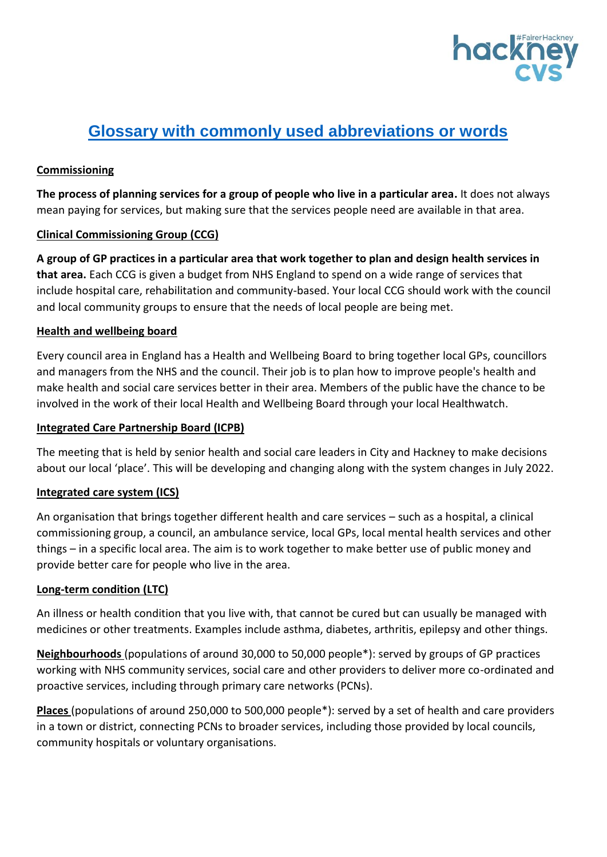

# **Glossary with commonly used abbreviations or words**

## **[Commissioning](https://www.thinklocalactpersonal.org.uk/Browse/Informationandadvice/CareandSupportJargonBuster/#Commissioning)**

**The process of planning services for a group of people who live in a particular area.** It does not always mean paying for services, but making sure that the services people need are available in that area.

### **[Clinical Commissioning Group \(CCG\)](https://www.thinklocalactpersonal.org.uk/Browse/Informationandadvice/CareandSupportJargonBuster/#Clinical%20Commissioning%20Group%20(CCG))**

**A group of GP practices in a particular area that work together to plan and design health services in that area.** Each CCG is given a budget from NHS England to spend on a wide range of services that include hospital care, rehabilitation and community-based. Your local CCG should work with the council and local community groups to ensure that the needs of local people are being met.

### **Health and wellbeing board**

Every council area in England has a Health and Wellbeing Board to bring together local GPs, councillors and managers from the NHS and the council. Their job is to plan how to improve people's health and make health and social care services better in their area. Members of the public have the chance to be involved in the work of their local Health and Wellbeing Board through your local Healthwatch.

### **Integrated Care Partnership Board (ICPB)**

The meeting that is held by senior health and social care leaders in City and Hackney to make decisions about our local 'place'. This will be developing and changing along with the system changes in July 2022.

## **[Integrated care system](https://www.thinklocalactpersonal.org.uk/Browse/Informationandadvice/CareandSupportJargonBuster/#Integrated%20care%20system) (ICS)**

An organisation that brings together different health and care services – such as a hospital, a clinical commissioning group, a council, an ambulance service, local GPs, local mental health services and other things – in a specific local area. The aim is to work together to make better use of public money and provide better care for people who live in the area.

## **[Long-term condition](https://www.thinklocalactpersonal.org.uk/Browse/Informationandadvice/CareandSupportJargonBuster/#Long-term%20condition) (LTC)**

An illness or health condition that you live with, that cannot be cured but can usually be managed with medicines or other treatments. Examples include asthma, diabetes, arthritis, epilepsy and other things.

**Neighbourhoods** (populations of around 30,000 to 50,000 people\*): served by groups of GP practices working with NHS community services, social care and other providers to deliver more co-ordinated and proactive services, including through primary care networks (PCNs).

**Places** (populations of around 250,000 to 500,000 people\*): served by a set of health and care providers in a town or district, connecting PCNs to broader services, including those provided by local councils, community hospitals or voluntary organisations.